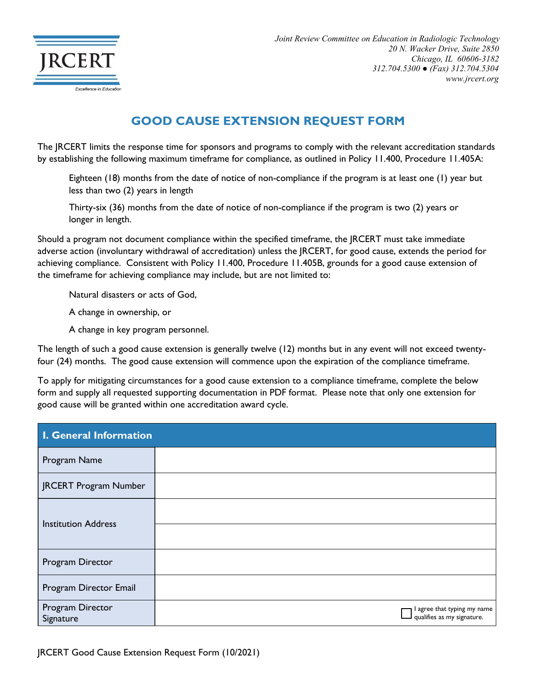

## **GOOD CAUSE EXTENSION REQUEST FORM**

The JRCERT limits the response time for sponsors and programs to comply with the relevant accreditation standards by establishing the following maximum timeframe for compliance, as outlined in Policy 11.400, Procedure 11.405A:

Eighteen (18) months from the date of notice of non-compliance if the program is at least one (1) year but less than two (2) years in length

Thirty-six (36) months from the date of notice of non-compliance if the program is two (2) years or longer in length.

Should a program not document compliance within the specified timeframe, the JRCERT must take immediate adverse action (involuntary withdrawal of accreditation) unless the JRCERT, for good cause, extends the period for achieving compliance. Consistent with Policy 11.400, Procedure 11.405B, grounds for a good cause extension of the timeframe for achieving compliance may include, but are not limited to:

Natural disasters or acts of God,

A change in ownership, or

A change in key program personnel.

The length of such a good cause extension is generally twelve (12) months but in any event will not exceed twentyfour (24) months. The good cause extension will commence upon the expiration of the compliance timeframe.

To apply for mitigating circumstances for a good cause extension to a compliance timeframe, complete the below form and supply all requested supporting documentation in PDF format. Please note that only one extension for good cause will be granted within one accreditation award cycle.

| I. General Information        |                                                           |  |
|-------------------------------|-----------------------------------------------------------|--|
| Program Name                  |                                                           |  |
| JRCERT Program Number         |                                                           |  |
| <b>Institution Address</b>    |                                                           |  |
|                               |                                                           |  |
| Program Director              |                                                           |  |
| Program Director Email        |                                                           |  |
| Program Director<br>Signature | I agree that typing my name<br>qualifies as my signature. |  |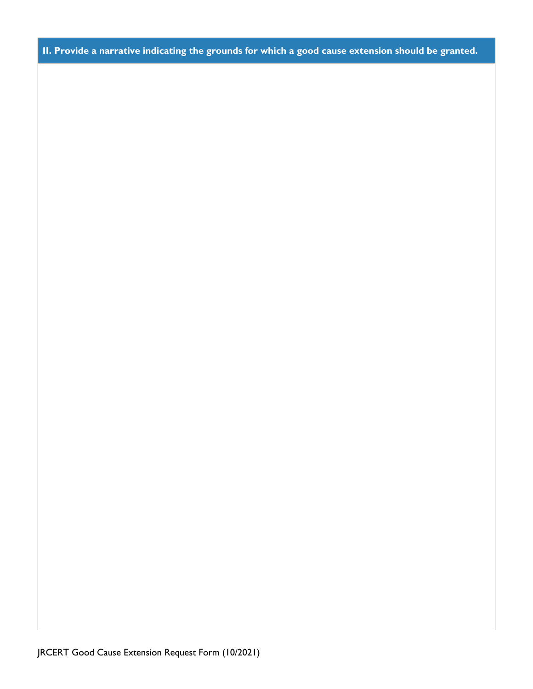**II. Provide a narrative indicating the grounds for which a good cause extension should be granted.**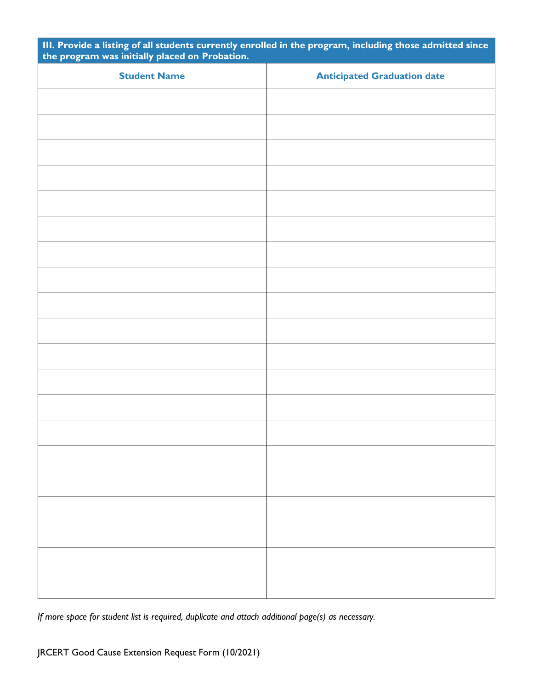| III. Provide a listing of all students currently enrolled in the program, including those admitted since the program was initially placed on Probation. |                                    |  |
|---------------------------------------------------------------------------------------------------------------------------------------------------------|------------------------------------|--|
| <b>Student Name</b>                                                                                                                                     | <b>Anticipated Graduation date</b> |  |
|                                                                                                                                                         |                                    |  |
|                                                                                                                                                         |                                    |  |
|                                                                                                                                                         |                                    |  |
|                                                                                                                                                         |                                    |  |
|                                                                                                                                                         |                                    |  |
|                                                                                                                                                         |                                    |  |
|                                                                                                                                                         |                                    |  |
|                                                                                                                                                         |                                    |  |
|                                                                                                                                                         |                                    |  |
|                                                                                                                                                         |                                    |  |
|                                                                                                                                                         |                                    |  |
|                                                                                                                                                         |                                    |  |
|                                                                                                                                                         |                                    |  |
|                                                                                                                                                         |                                    |  |
|                                                                                                                                                         |                                    |  |
|                                                                                                                                                         |                                    |  |
|                                                                                                                                                         |                                    |  |
|                                                                                                                                                         |                                    |  |
|                                                                                                                                                         |                                    |  |
|                                                                                                                                                         |                                    |  |
|                                                                                                                                                         |                                    |  |

*If more space for student list is required, duplicate and attach additional page(s) as necessary.*